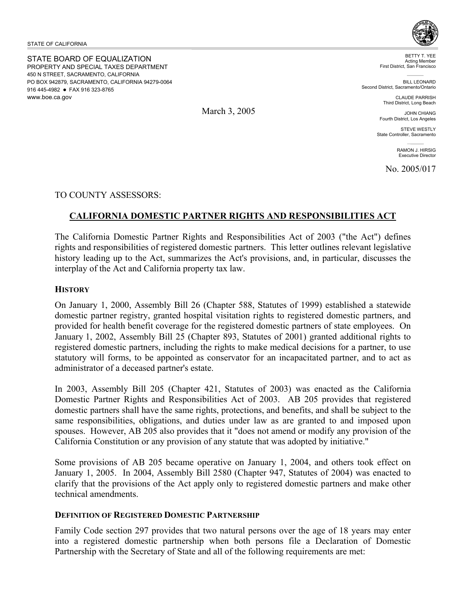STATE OF CALIFORNIA

STATE BOARD OF EQUALIZATION PROPERTY AND SPECIAL TAXES DEPARTMENT 450 N STREET, SACRAMENTO, CALIFORNIA PO BOX 942879, SACRAMENTO, CALIFORNIA 94279-0064 916 445-4982 • FAX 916 323-8765 www.boe.ca.gov



BETTY T. YEE Acting Member First District, San Francisco

**BILL LEONARD** Second District, Sacramento/Ontario

> CLAUDE PARRISH Third District, Long Beach

JOHN CHIANG Fourth District, Los Angeles

STEVE WESTLY State Controller, Sacramento

> RAMON J. HIRSIG Executive Director

No. 2005/017

TO COUNTY ASSESSORS:

# **CALIFORNIA DOMESTIC PARTNER RIGHTS AND RESPONSIBILITIES ACT**

The California Domestic Partner Rights and Responsibilities Act of 2003 ("the Act") defines rights and responsibilities of registered domestic partners. This letter outlines relevant legislative history leading up to the Act, summarizes the Act's provisions, and, in particular, discusses the interplay of the Act and California property tax law.

#### **HISTORY**

On January 1, 2000, Assembly Bill 26 (Chapter 588, Statutes of 1999) established a statewide domestic partner registry, granted hospital visitation rights to registered domestic partners, and provided for health benefit coverage for the registered domestic partners of state employees. On January 1, 2002, Assembly Bill 25 (Chapter 893, Statutes of 2001) granted additional rights to registered domestic partners, including the rights to make medical decisions for a partner, to use statutory will forms, to be appointed as conservator for an incapacitated partner, and to act as administrator of a deceased partner's estate.

In 2003, Assembly Bill 205 (Chapter 421, Statutes of 2003) was enacted as the California Domestic Partner Rights and Responsibilities Act of 2003. AB 205 provides that registered domestic partners shall have the same rights, protections, and benefits, and shall be subject to the same responsibilities, obligations, and duties under law as are granted to and imposed upon spouses. However, AB 205 also provides that it "does not amend or modify any provision of the California Constitution or any provision of any statute that was adopted by initiative."

Some provisions of AB 205 became operative on January 1, 2004, and others took effect on January 1, 2005. In 2004, Assembly Bill 2580 (Chapter 947, Statutes of 2004) was enacted to clarify that the provisions of the Act apply only to registered domestic partners and make other technical amendments.

### **DEFINITION OF REGISTERED DOMESTIC PARTNERSHIP**

Family Code section 297 provides that two natural persons over the age of 18 years may enter into a registered domestic partnership when both persons file a Declaration of Domestic Partnership with the Secretary of State and all of the following requirements are met:

March 3, 2005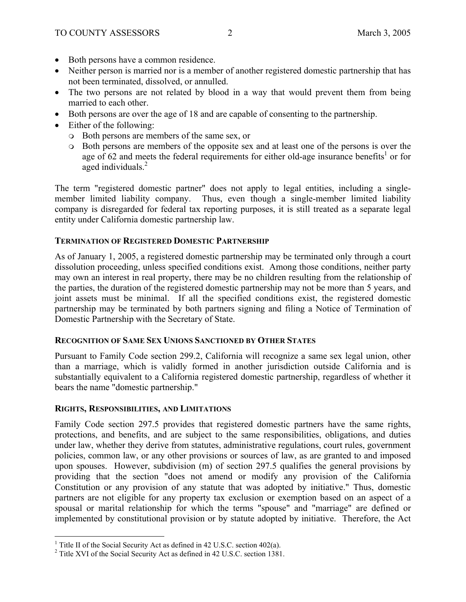- Both persons have a common residence.
- Neither person is married nor is a member of another registered domestic partnership that has not been terminated, dissolved, or annulled.
- The two persons are not related by blood in a way that would prevent them from being married to each other.
- Both persons are over the age of 18 and are capable of consenting to the partnership.
- Either of the following:
	- Both persons are members of the same sex, or
	- Both persons are members of the opposite sex and at least one of the persons is over the age of 62 and meets the federal requirements for either old-age insurance benefits<sup>1</sup> or for aged individuals.<sup>2</sup>

The term "registered domestic partner" does not apply to legal entities, including a singlemember limited liability company. Thus, even though a single-member limited liability company is disregarded for federal tax reporting purposes, it is still treated as a separate legal entity under California domestic partnership law.

## **TERMINATION OF REGISTERED DOMESTIC PARTNERSHIP**

As of January 1, 2005, a registered domestic partnership may be terminated only through a court dissolution proceeding, unless specified conditions exist. Among those conditions, neither party may own an interest in real property, there may be no children resulting from the relationship of the parties, the duration of the registered domestic partnership may not be more than 5 years, and joint assets must be minimal. If all the specified conditions exist, the registered domestic partnership may be terminated by both partners signing and filing a Notice of Termination of Domestic Partnership with the Secretary of State.

## **RECOGNITION OF SAME SEX UNIONS SANCTIONED BY OTHER STATES**

Pursuant to Family Code section 299.2, California will recognize a same sex legal union, other than a marriage, which is validly formed in another jurisdiction outside California and is substantially equivalent to a California registered domestic partnership, regardless of whether it bears the name "domestic partnership."

### **RIGHTS, RESPONSIBILITIES, AND LIMITATIONS**

 $\overline{a}$ 

Family Code section 297.5 provides that registered domestic partners have the same rights, protections, and benefits, and are subject to the same responsibilities, obligations, and duties under law, whether they derive from statutes, administrative regulations, court rules, government policies, common law, or any other provisions or sources of law, as are granted to and imposed upon spouses. However, subdivision (m) of section 297.5 qualifies the general provisions by providing that the section "does not amend or modify any provision of the California Constitution or any provision of any statute that was adopted by initiative." Thus, domestic partners are not eligible for any property tax exclusion or exemption based on an aspect of a spousal or marital relationship for which the terms "spouse" and "marriage" are defined or implemented by constitutional provision or by statute adopted by initiative. Therefore, the Act

<sup>&</sup>lt;sup>1</sup> Title II of the Social Security Act as defined in 42 U.S.C. section 402(a).

<sup>&</sup>lt;sup>2</sup> Title XVI of the Social Security Act as defined in 42 U.S.C. section 1381.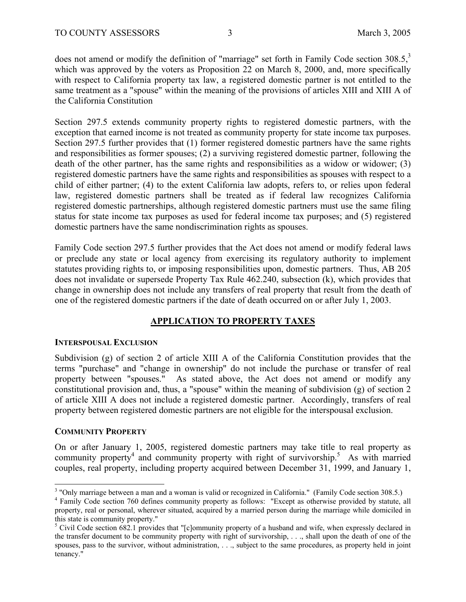does not amend or modify the definition of "marriage" set forth in Family Code section  $308.5$ ,<sup>3</sup> which was approved by the voters as Proposition 22 on March 8, 2000, and, more specifically with respect to California property tax law, a registered domestic partner is not entitled to the same treatment as a "spouse" within the meaning of the provisions of articles XIII and XIII A of the California Constitution

Section 297.5 extends community property rights to registered domestic partners, with the exception that earned income is not treated as community property for state income tax purposes. Section 297.5 further provides that (1) former registered domestic partners have the same rights and responsibilities as former spouses; (2) a surviving registered domestic partner, following the death of the other partner, has the same rights and responsibilities as a widow or widower; (3) registered domestic partners have the same rights and responsibilities as spouses with respect to a child of either partner; (4) to the extent California law adopts, refers to, or relies upon federal law, registered domestic partners shall be treated as if federal law recognizes California registered domestic partnerships, although registered domestic partners must use the same filing status for state income tax purposes as used for federal income tax purposes; and (5) registered domestic partners have the same nondiscrimination rights as spouses.

Family Code section 297.5 further provides that the Act does not amend or modify federal laws or preclude any state or local agency from exercising its regulatory authority to implement statutes providing rights to, or imposing responsibilities upon, domestic partners. Thus, AB 205 does not invalidate or supersede Property Tax Rule 462.240, subsection (k), which provides that change in ownership does not include any transfers of real property that result from the death of one of the registered domestic partners if the date of death occurred on or after July 1, 2003.

## **APPLICATION TO PROPERTY TAXES**

### **INTERSPOUSAL EXCLUSION**

Subdivision (g) of section 2 of article XIII A of the California Constitution provides that the terms "purchase" and "change in ownership" do not include the purchase or transfer of real property between "spouses." As stated above, the Act does not amend or modify any constitutional provision and, thus, a "spouse" within the meaning of subdivision (g) of section 2 of article XIII A does not include a registered domestic partner. Accordingly, transfers of real property between registered domestic partners are not eligible for the interspousal exclusion.

### **COMMUNITY PROPERTY**

<u>.</u>

On or after January 1, 2005, registered domestic partners may take title to real property as community property<sup>4</sup> and community property with right of survivorship.<sup>5</sup> As with married couples, real property, including property acquired between December 31, 1999, and January 1,

<sup>&</sup>lt;sup>3</sup> "Only marriage between a man and a woman is valid or recognized in California." (Family Code section 308.5.) <sup>4</sup> Equily Code section 308.5.)

<sup>&</sup>lt;sup>4</sup> Family Code section 760 defines community property as follows: "Except as otherwise provided by statute, all property, real or personal, wherever situated, acquired by a married person during the marriage while domiciled in this state is community property."

<sup>&</sup>lt;sup>5</sup> Civil Code section 682.1 provides that "[c]ommunity property of a husband and wife, when expressly declared in the transfer document to be community property with right of survivorship, . . ., shall upon the death of one of the spouses, pass to the survivor, without administration, . . ., subject to the same procedures, as property held in joint tenancy."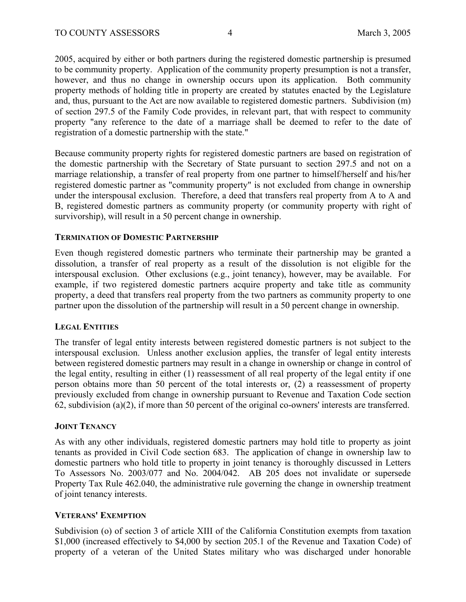2005, acquired by either or both partners during the registered domestic partnership is presumed to be community property. Application of the community property presumption is not a transfer, however, and thus no change in ownership occurs upon its application. Both community property methods of holding title in property are created by statutes enacted by the Legislature and, thus, pursuant to the Act are now available to registered domestic partners. Subdivision (m) of section 297.5 of the Family Code provides, in relevant part, that with respect to community property "any reference to the date of a marriage shall be deemed to refer to the date of registration of a domestic partnership with the state."

Because community property rights for registered domestic partners are based on registration of the domestic partnership with the Secretary of State pursuant to section 297.5 and not on a marriage relationship, a transfer of real property from one partner to himself/herself and his/her registered domestic partner as "community property" is not excluded from change in ownership under the interspousal exclusion. Therefore, a deed that transfers real property from A to A and B, registered domestic partners as community property (or community property with right of survivorship), will result in a 50 percent change in ownership.

### **TERMINATION OF DOMESTIC PARTNERSHIP**

Even though registered domestic partners who terminate their partnership may be granted a dissolution, a transfer of real property as a result of the dissolution is not eligible for the interspousal exclusion. Other exclusions (e.g., joint tenancy), however, may be available. For example, if two registered domestic partners acquire property and take title as community property, a deed that transfers real property from the two partners as community property to one partner upon the dissolution of the partnership will result in a 50 percent change in ownership.

### **LEGAL ENTITIES**

The transfer of legal entity interests between registered domestic partners is not subject to the interspousal exclusion. Unless another exclusion applies, the transfer of legal entity interests between registered domestic partners may result in a change in ownership or change in control of the legal entity, resulting in either (1) reassessment of all real property of the legal entity if one person obtains more than 50 percent of the total interests or, (2) a reassessment of property previously excluded from change in ownership pursuant to Revenue and Taxation Code section 62, subdivision (a)(2), if more than 50 percent of the original co-owners' interests are transferred.

### **JOINT TENANCY**

As with any other individuals, registered domestic partners may hold title to property as joint tenants as provided in Civil Code section 683. The application of change in ownership law to domestic partners who hold title to property in joint tenancy is thoroughly discussed in Letters To Assessors No. 2003/077 and No. 2004/042. AB 205 does not invalidate or supersede Property Tax Rule 462.040, the administrative rule governing the change in ownership treatment of joint tenancy interests.

### **VETERANS' EXEMPTION**

Subdivision (o) of section 3 of article XIII of the California Constitution exempts from taxation \$1,000 (increased effectively to \$4,000 by section 205.1 of the Revenue and Taxation Code) of property of a veteran of the United States military who was discharged under honorable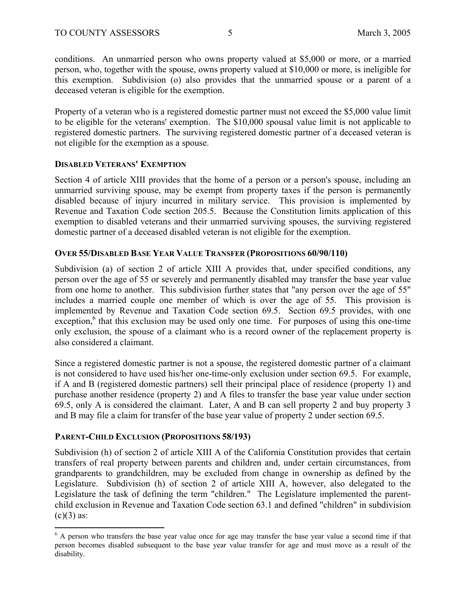conditions. An unmarried person who owns property valued at \$5,000 or more, or a married person, who, together with the spouse, owns property valued at \$10,000 or more, is ineligible for this exemption. Subdivision (o) also provides that the unmarried spouse or a parent of a deceased veteran is eligible for the exemption.

Property of a veteran who is a registered domestic partner must not exceed the \$5,000 value limit to be eligible for the veterans' exemption. The \$10,000 spousal value limit is not applicable to registered domestic partners. The surviving registered domestic partner of a deceased veteran is not eligible for the exemption as a spouse.

### **DISABLED VETERANS' EXEMPTION**

Section 4 of article XIII provides that the home of a person or a person's spouse, including an unmarried surviving spouse, may be exempt from property taxes if the person is permanently disabled because of injury incurred in military service. This provision is implemented by Revenue and Taxation Code section 205.5. Because the Constitution limits application of this exemption to disabled veterans and their unmarried surviving spouses, the surviving registered domestic partner of a deceased disabled veteran is not eligible for the exemption.

## **OVER 55/DISABLED BASE YEAR VALUE TRANSFER (PROPOSITIONS 60/90/110)**

Subdivision (a) of section 2 of article XIII A provides that, under specified conditions, any person over the age of 55 or severely and permanently disabled may transfer the base year value from one home to another. This subdivision further states that "any person over the age of 55" includes a married couple one member of which is over the age of 55. This provision is implemented by Revenue and Taxation Code section 69.5. Section 69.5 provides, with one exception,<sup>6</sup> that this exclusion may be used only one time. For purposes of using this one-time only exclusion, the spouse of a claimant who is a record owner of the replacement property is also considered a claimant.

Since a registered domestic partner is not a spouse, the registered domestic partner of a claimant is not considered to have used his/her one-time-only exclusion under section 69.5. For example, if A and B (registered domestic partners) sell their principal place of residence (property 1) and purchase another residence (property 2) and A files to transfer the base year value under section 69.5, only A is considered the claimant. Later, A and B can sell property 2 and buy property 3 and B may file a claim for transfer of the base year value of property 2 under section 69.5.

## **PARENT-CHILD EXCLUSION (PROPOSITIONS 58/193)**

Subdivision (h) of section 2 of article XIII A of the California Constitution provides that certain transfers of real property between parents and children and, under certain circumstances, from grandparents to grandchildren, may be excluded from change in ownership as defined by the Legislature. Subdivision (h) of section 2 of article XIII A, however, also delegated to the Legislature the task of defining the term "children." The Legislature implemented the parentchild exclusion in Revenue and Taxation Code section 63.1 and defined "children" in subdivision  $(c)(3)$  as:

<sup>&</sup>lt;sup>6</sup> A person who transfers the base year value once for age may transfer the base year value a second time if that person becomes disabled subsequent to the base year value transfer for age and must move as a result of the disability.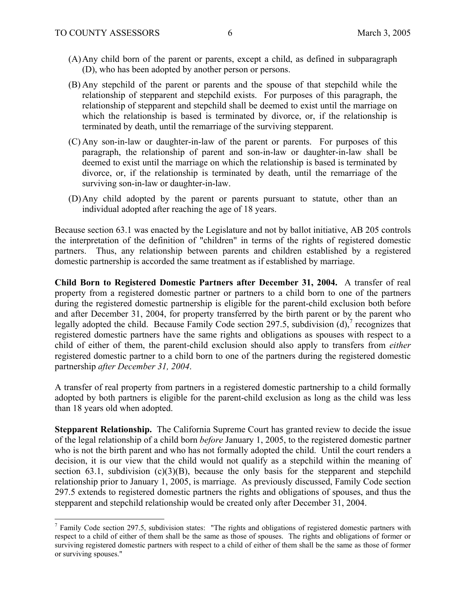$\overline{a}$ 

- (A)Any child born of the parent or parents, except a child, as defined in subparagraph (D), who has been adopted by another person or persons.
- (B) Any stepchild of the parent or parents and the spouse of that stepchild while the relationship of stepparent and stepchild exists. For purposes of this paragraph, the relationship of stepparent and stepchild shall be deemed to exist until the marriage on which the relationship is based is terminated by divorce, or, if the relationship is terminated by death, until the remarriage of the surviving stepparent.
- (C) Any son-in-law or daughter-in-law of the parent or parents. For purposes of this paragraph, the relationship of parent and son-in-law or daughter-in-law shall be deemed to exist until the marriage on which the relationship is based is terminated by divorce, or, if the relationship is terminated by death, until the remarriage of the surviving son-in-law or daughter-in-law.
- (D)Any child adopted by the parent or parents pursuant to statute, other than an individual adopted after reaching the age of 18 years.

Because section 63.1 was enacted by the Legislature and not by ballot initiative, AB 205 controls the interpretation of the definition of "children" in terms of the rights of registered domestic partners. Thus, any relationship between parents and children established by a registered domestic partnership is accorded the same treatment as if established by marriage.

**Child Born to Registered Domestic Partners after December 31, 2004.** A transfer of real property from a registered domestic partner or partners to a child born to one of the partners during the registered domestic partnership is eligible for the parent-child exclusion both before and after December 31, 2004, for property transferred by the birth parent or by the parent who legally adopted the child. Because Family Code section 297.5, subdivision  $(d)$ , recognizes that registered domestic partners have the same rights and obligations as spouses with respect to a child of either of them, the parent-child exclusion should also apply to transfers from *either* registered domestic partner to a child born to one of the partners during the registered domestic partnership *after December 31, 2004*.

A transfer of real property from partners in a registered domestic partnership to a child formally adopted by both partners is eligible for the parent-child exclusion as long as the child was less than 18 years old when adopted.

**Stepparent Relationship.** The California Supreme Court has granted review to decide the issue of the legal relationship of a child born *before* January 1, 2005, to the registered domestic partner who is not the birth parent and who has not formally adopted the child. Until the court renders a decision, it is our view that the child would not qualify as a stepchild within the meaning of section 63.1, subdivision  $(c)(3)(B)$ , because the only basis for the stepparent and stepchild relationship prior to January 1, 2005, is marriage. As previously discussed, Family Code section 297.5 extends to registered domestic partners the rights and obligations of spouses, and thus the stepparent and stepchild relationship would be created only after December 31, 2004.

 $<sup>7</sup>$  Family Code section 297.5, subdivision states: "The rights and obligations of registered domestic partners with</sup> respect to a child of either of them shall be the same as those of spouses. The rights and obligations of former or surviving registered domestic partners with respect to a child of either of them shall be the same as those of former or surviving spouses."